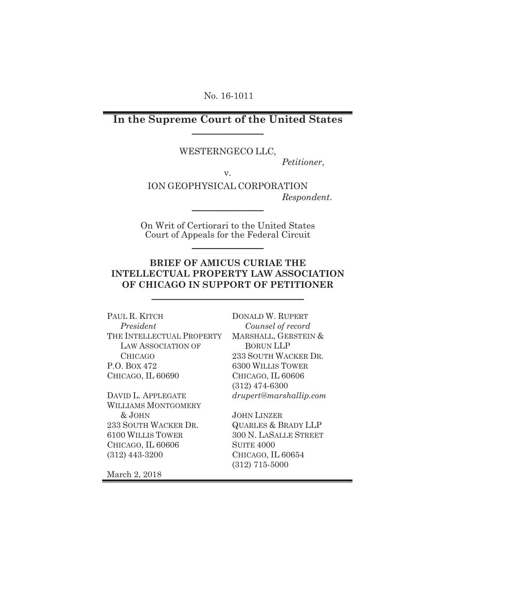No. 16-1011

**In the Supreme Court of the United States**  $\frac{1}{2}$  , where  $\frac{1}{2}$  , where  $\frac{1}{2}$ 

WESTERNGECO LLC,

*Petitioner*,

v.

ION GEOPHYSICAL CORPORATION *Respondent*.

On Writ of Certiorari to the United States Court of Appeals for the Federal Circuit  $\frac{1}{2}$  , where  $\frac{1}{2}$  , where  $\frac{1}{2}$ 

 $\frac{1}{2}$  , where  $\frac{1}{2}$  , where  $\frac{1}{2}$ 

### **BRIEF OF AMICUS CURIAE THE INTELLECTUAL PROPERTY LAW ASSOCIATION OF CHICAGO IN SUPPORT OF PETITIONER**

\_\_\_\_\_\_\_\_\_\_\_\_\_\_\_\_\_\_\_\_\_\_\_\_\_\_\_\_\_\_\_\_\_\_

PAUL R. KITCH  *President*  THE INTELLECTUAL PROPERTY LAW ASSOCIATION OF CHICAGO P.O. BOX 472 CHICAGO, IL 60690

DAVID L. APPLEGATE WILLIAMS MONTGOMERY & JOHN 233 SOUTH WACKER DR. 6100 WILLIS TOWER CHICAGO, IL 60606 (312) 443-3200

DONALD W. RUPERT  *Counsel of record* MARSHALL, GERSTEIN & BORUN LLP 233 SOUTH WACKER DR. 6300 WILLIS TOWER CHICAGO, IL 60606 (312) 474-6300 *drupert@marshallip.com* 

JOHN LINZER QUARLES & BRADY LLP 300 N. LASALLE STREET SUITE 4000 CHICAGO, IL 60654 (312) 715-5000

March 2, 2018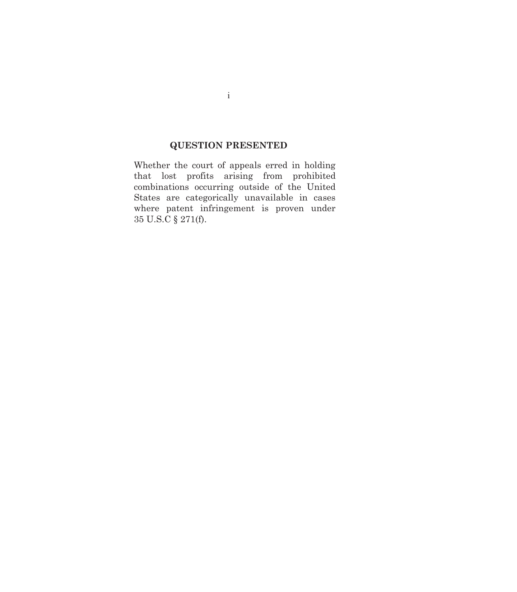# **QUESTION PRESENTED**

Whether the court of appeals erred in holding that lost profits arising from prohibited combinations occurring outside of the United States are categorically unavailable in cases where patent infringement is proven under 35 U.S.C § 271(f).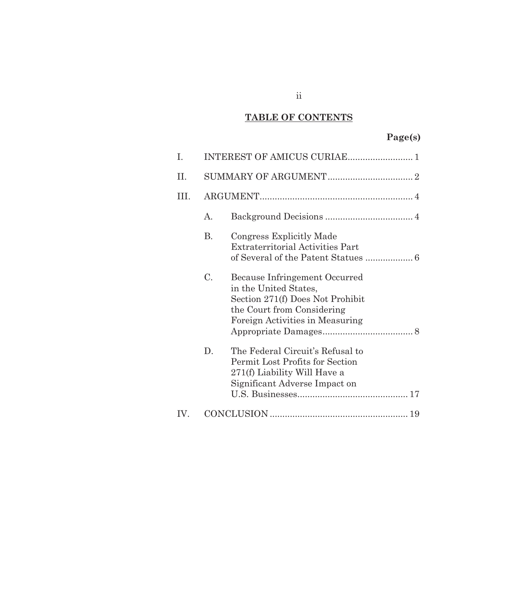# **TABLE OF CONTENTS**

# **Page(s)**

| I.   |    |                                                                                                                                                             |  |
|------|----|-------------------------------------------------------------------------------------------------------------------------------------------------------------|--|
| Η.   |    |                                                                                                                                                             |  |
| III. |    |                                                                                                                                                             |  |
|      | A. |                                                                                                                                                             |  |
|      | В. | Congress Explicitly Made<br><b>Extraterritorial Activities Part</b>                                                                                         |  |
|      | C. | Because Infringement Occurred<br>in the United States,<br>Section 271(f) Does Not Prohibit<br>the Court from Considering<br>Foreign Activities in Measuring |  |
|      | D. | The Federal Circuit's Refusal to<br>Permit Lost Profits for Section<br>271(f) Liability Will Have a<br>Significant Adverse Impact on                        |  |
| IV.  |    |                                                                                                                                                             |  |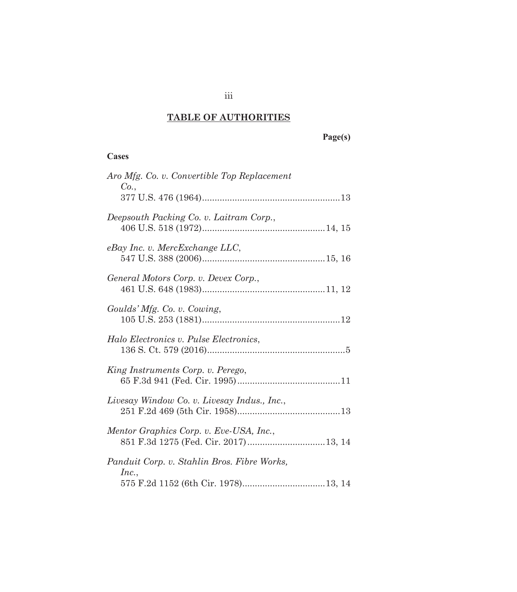# **TABLE OF AUTHORITIES**

 **Page(s)** 

## **Cases**

| Aro Mfg. Co. v. Convertible Top Replacement<br>Co.,                             |
|---------------------------------------------------------------------------------|
|                                                                                 |
| Deepsouth Packing Co. v. Laitram Corp.,                                         |
| eBay Inc. v. MercExchange LLC,                                                  |
| General Motors Corp. v. Devex Corp.,                                            |
| Goulds' Mfg. Co. v. Cowing,                                                     |
| Halo Electronics v. Pulse Electronics,                                          |
| King Instruments Corp. v. Perego,                                               |
| Livesay Window Co. v. Livesay Indus., Inc.,                                     |
| Mentor Graphics Corp. v. Eve-USA, Inc.,<br>851 F.3d 1275 (Fed. Cir. 2017)13, 14 |
| Panduit Corp. v. Stahlin Bros. Fibre Works,                                     |
| Inc.,                                                                           |

iii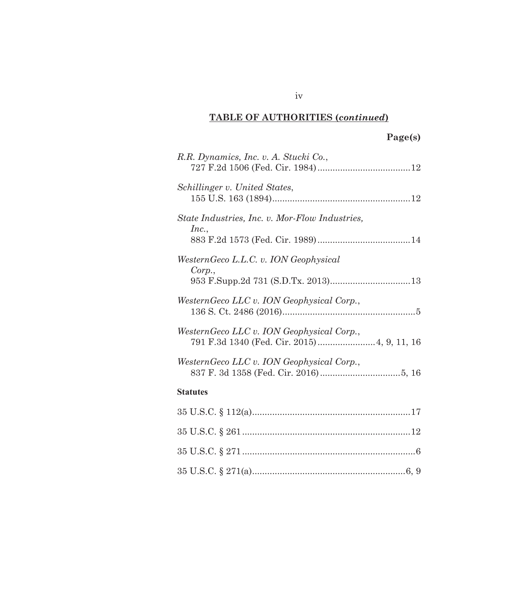# **TABLE OF AUTHORITIES (***continued***)**

# **Page(s)**

| R.R. Dynamics, Inc. v. A. Stucki Co.,                                                    |  |  |  |  |
|------------------------------------------------------------------------------------------|--|--|--|--|
| Schillinger v. United States,                                                            |  |  |  |  |
| State Industries, Inc. v. Mor-Flow Industries,                                           |  |  |  |  |
| Inc.,                                                                                    |  |  |  |  |
| WesternGeco L.L.C. v. ION Geophysical                                                    |  |  |  |  |
| Corp.,                                                                                   |  |  |  |  |
| WesternGeco LLC v. ION Geophysical Corp.,                                                |  |  |  |  |
| WesternGeco LLC v. ION Geophysical Corp.,<br>791 F.3d 1340 (Fed. Cir. 2015) 4, 9, 11, 16 |  |  |  |  |
| WesternGeco LLC v. ION Geophysical Corp.,                                                |  |  |  |  |
| <b>Statutes</b>                                                                          |  |  |  |  |
|                                                                                          |  |  |  |  |
|                                                                                          |  |  |  |  |
|                                                                                          |  |  |  |  |
|                                                                                          |  |  |  |  |

iv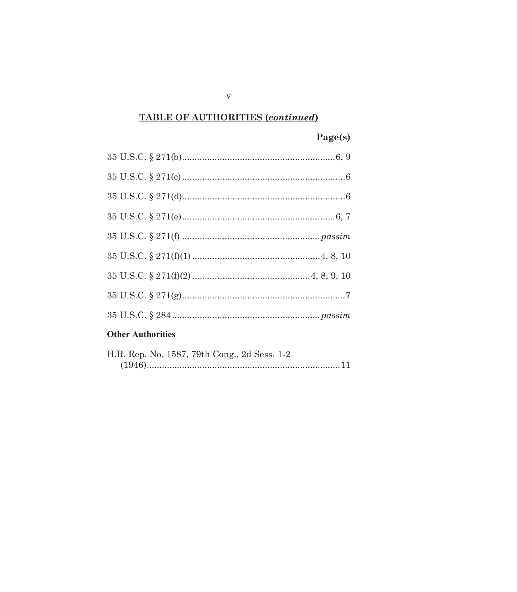# **TABLE OF AUTHORITIES (continued)**

# Page(s)

# **Other Authorities**

| H.R. Rep. No. 1587, 79th Cong., 2d Sess. 1-2 |
|----------------------------------------------|
|                                              |

 $\mathbf{V}$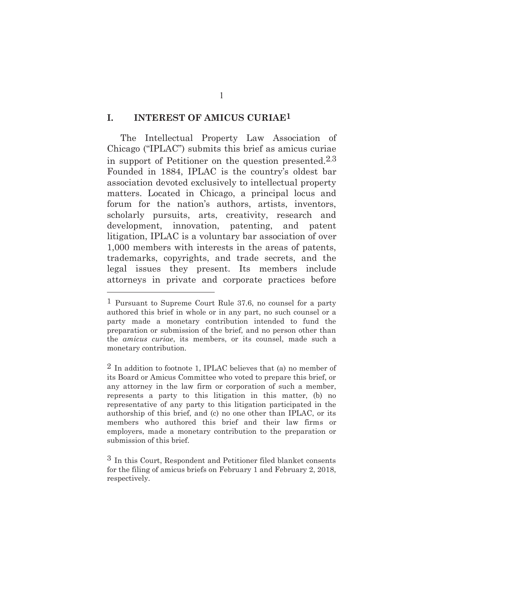### **I. INTEREST OF AMICUS CURIAE1**

The Intellectual Property Law Association of Chicago ("IPLAC") submits this brief as amicus curiae in support of Petitioner on the question presented.2,3 Founded in 1884, IPLAC is the country's oldest bar association devoted exclusively to intellectual property matters. Located in Chicago, a principal locus and forum for the nation's authors, artists, inventors, scholarly pursuits, arts, creativity, research and development, innovation, patenting, and patent litigation, IPLAC is a voluntary bar association of over 1,000 members with interests in the areas of patents, trademarks, copyrights, and trade secrets, and the legal issues they present. Its members include attorneys in private and corporate practices before

-

1

<sup>1</sup> Pursuant to Supreme Court Rule 37.6, no counsel for a party authored this brief in whole or in any part, no such counsel or a party made a monetary contribution intended to fund the preparation or submission of the brief, and no person other than the *amicus curiae*, its members, or its counsel, made such a monetary contribution.

<sup>2</sup> In addition to footnote 1, IPLAC believes that (a) no member of its Board or Amicus Committee who voted to prepare this brief, or any attorney in the law firm or corporation of such a member, represents a party to this litigation in this matter, (b) no representative of any party to this litigation participated in the authorship of this brief, and (c) no one other than IPLAC, or its members who authored this brief and their law firms or employers, made a monetary contribution to the preparation or submission of this brief.

<sup>3</sup> In this Court, Respondent and Petitioner filed blanket consents for the filing of amicus briefs on February 1 and February 2, 2018, respectively.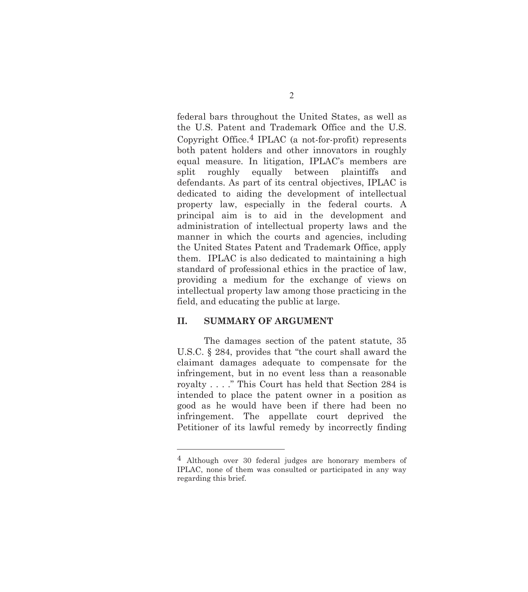federal bars throughout the United States, as well as the U.S. Patent and Trademark Office and the U.S. Copyright Office.4 IPLAC (a not-for-profit) represents both patent holders and other innovators in roughly equal measure. In litigation, IPLAC's members are split roughly equally between plaintiffs and defendants. As part of its central objectives, IPLAC is dedicated to aiding the development of intellectual property law, especially in the federal courts. A principal aim is to aid in the development and administration of intellectual property laws and the manner in which the courts and agencies, including the United States Patent and Trademark Office, apply them. IPLAC is also dedicated to maintaining a high standard of professional ethics in the practice of law, providing a medium for the exchange of views on intellectual property law among those practicing in the field, and educating the public at large.

### **II. SUMMARY OF ARGUMENT**

 $\overline{a}$ 

The damages section of the patent statute, 35 U.S.C. § 284, provides that "the court shall award the claimant damages adequate to compensate for the infringement, but in no event less than a reasonable royalty . . . ." This Court has held that Section 284 is intended to place the patent owner in a position as good as he would have been if there had been no infringement. The appellate court deprived the Petitioner of its lawful remedy by incorrectly finding

<sup>4</sup> Although over 30 federal judges are honorary members of IPLAC, none of them was consulted or participated in any way regarding this brief.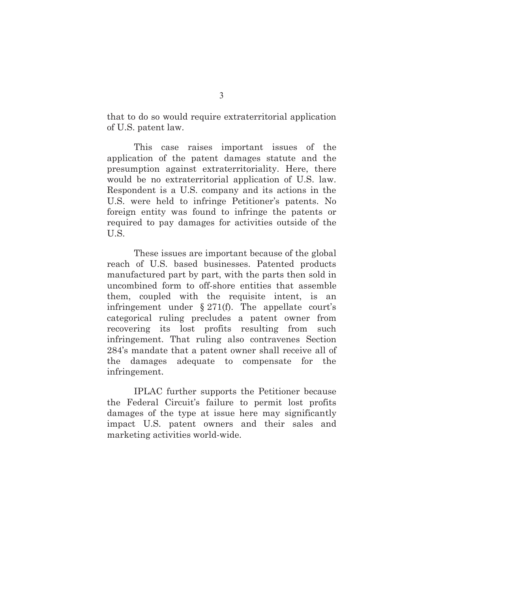that to do so would require extraterritorial application of U.S. patent law.

This case raises important issues of the application of the patent damages statute and the presumption against extraterritoriality. Here, there would be no extraterritorial application of U.S. law. Respondent is a U.S. company and its actions in the U.S. were held to infringe Petitioner's patents. No foreign entity was found to infringe the patents or required to pay damages for activities outside of the U.S.

These issues are important because of the global reach of U.S. based businesses. Patented products manufactured part by part, with the parts then sold in uncombined form to off-shore entities that assemble them, coupled with the requisite intent, is an infringement under  $\S 271(f)$ . The appellate court's categorical ruling precludes a patent owner from recovering its lost profits resulting from such infringement. That ruling also contravenes Section 284's mandate that a patent owner shall receive all of the damages adequate to compensate for the infringement.

IPLAC further supports the Petitioner because the Federal Circuit's failure to permit lost profits damages of the type at issue here may significantly impact U.S. patent owners and their sales and marketing activities world-wide.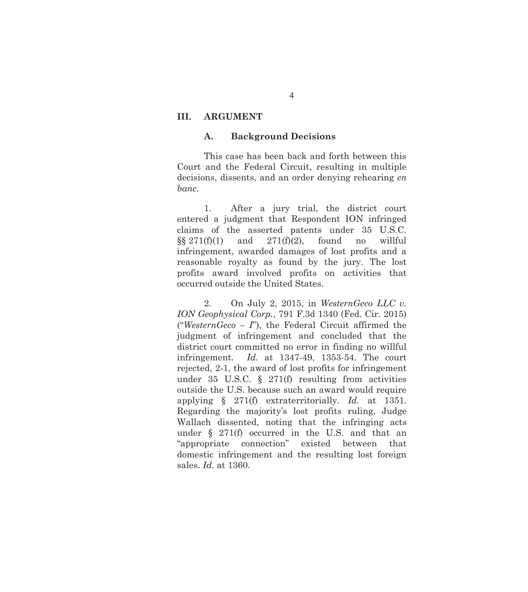### **III. ARGUMENT**

### **A. Background Decisions**

This case has been back and forth between this Court and the Federal Circuit, resulting in multiple decisions, dissents, and an order denying rehearing *en banc*.

1. After a jury trial, the district court entered a judgment that Respondent ION infringed claims of the asserted patents under 35 U.S.C.  $\S\S 271(f)(1)$  and  $271(f)(2)$ , found no willful infringement, awarded damages of lost profits and a reasonable royalty as found by the jury. The lost profits award involved profits on activities that occurred outside the United States.

2. On July 2, 2015, in *WesternGeco LLC v. ION Geophysical Corp.*, 791 F.3d 1340 (Fed. Cir. 2015) ("*WesternGeco – I*"), the Federal Circuit affirmed the judgment of infringement and concluded that the district court committed no error in finding no willful infringement. *Id.* at 1347-49, 1353-54. The court rejected, 2-1, the award of lost profits for infringement under 35 U.S.C. § 271(f) resulting from activities outside the U.S. because such an award would require applying § 271(f) extraterritorially. *Id.* at 1351. Regarding the majority's lost profits ruling, Judge Wallach dissented, noting that the infringing acts under § 271(f) occurred in the U.S. and that an "appropriate connection" existed between that domestic infringement and the resulting lost foreign sales. *Id.* at 1360.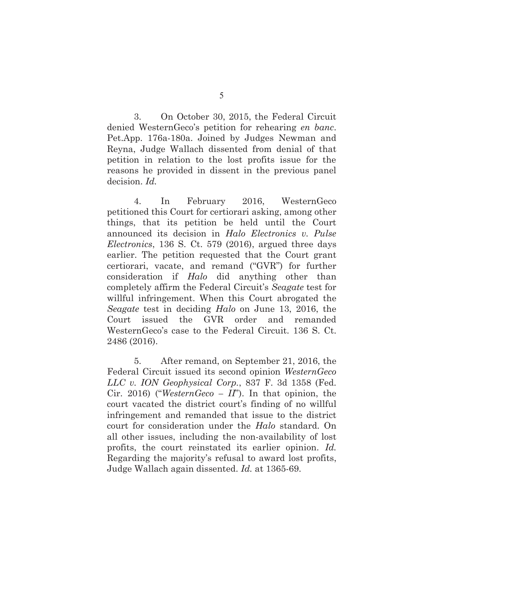3. On October 30, 2015, the Federal Circuit denied WesternGeco's petition for rehearing *en banc*. Pet.App. 176a-180a. Joined by Judges Newman and Reyna, Judge Wallach dissented from denial of that petition in relation to the lost profits issue for the reasons he provided in dissent in the previous panel decision. *Id.*

4. In February 2016, WesternGeco petitioned this Court for certiorari asking, among other things, that its petition be held until the Court announced its decision in *Halo Electronics v. Pulse Electronics*, 136 S. Ct. 579 (2016), argued three days earlier. The petition requested that the Court grant certiorari, vacate, and remand ("GVR") for further consideration if *Halo* did anything other than completely affirm the Federal Circuit's *Seagate* test for willful infringement. When this Court abrogated the *Seagate* test in deciding *Halo* on June 13, 2016, the Court issued the GVR order and remanded WesternGeco's case to the Federal Circuit. 136 S. Ct. 2486 (2016).

5. After remand, on September 21, 2016, the Federal Circuit issued its second opinion *WesternGeco LLC v. ION Geophysical Corp.*, 837 F. 3d 1358 (Fed. Cir. 2016) ("*WesternGeco – II*"). In that opinion, the court vacated the district court's finding of no willful infringement and remanded that issue to the district court for consideration under the *Halo* standard. On all other issues, including the non-availability of lost profits, the court reinstated its earlier opinion. *Id.* Regarding the majority's refusal to award lost profits, Judge Wallach again dissented. *Id.* at 1365-69.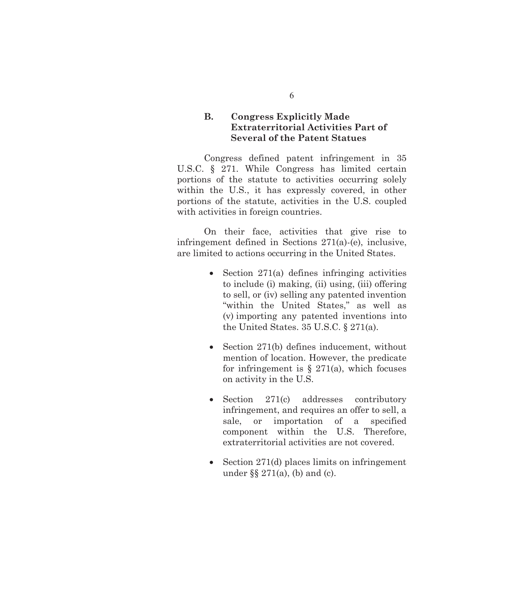## **B. Congress Explicitly Made Extraterritorial Activities Part of Several of the Patent Statues**

Congress defined patent infringement in 35 U.S.C. § 271. While Congress has limited certain portions of the statute to activities occurring solely within the U.S., it has expressly covered, in other portions of the statute, activities in the U.S. coupled with activities in foreign countries.

On their face, activities that give rise to infringement defined in Sections 271(a)-(e), inclusive, are limited to actions occurring in the United States.

- $\bullet$  Section 271(a) defines infringing activities to include (i) making, (ii) using, (iii) offering to sell, or (iv) selling any patented invention "within the United States," as well as (v) importing any patented inventions into the United States. 35 U.S.C. § 271(a).
- $\bullet$  Section 271(b) defines inducement, without mention of location. However, the predicate for infringement is  $\S$  271(a), which focuses on activity in the U.S.
- $\bullet$  Section 271(c) addresses contributory infringement, and requires an offer to sell, a sale, or importation of a specified component within the U.S. Therefore, extraterritorial activities are not covered.
- $\bullet$  Section 271(d) places limits on infringement under  $\S$  271(a), (b) and (c).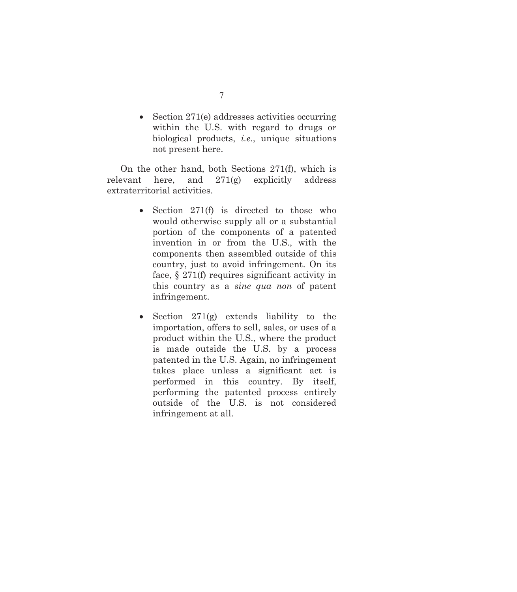$\bullet$  Section 271(e) addresses activities occurring within the U.S. with regard to drugs or biological products, *i.e.*, unique situations not present here.

On the other hand, both Sections 271(f), which is relevant here, and 271(g) explicitly address extraterritorial activities.

- Section  $271(f)$  is directed to those who would otherwise supply all or a substantial portion of the components of a patented invention in or from the U.S., with the components then assembled outside of this country, just to avoid infringement. On its face, § 271(f) requires significant activity in this country as a *sine qua non* of patent infringement.
- Section  $271(g)$  extends liability to the importation, offers to sell, sales, or uses of a product within the U.S., where the product is made outside the U.S. by a process patented in the U.S. Again, no infringement takes place unless a significant act is performed in this country. By itself, performing the patented process entirely outside of the U.S. is not considered infringement at all.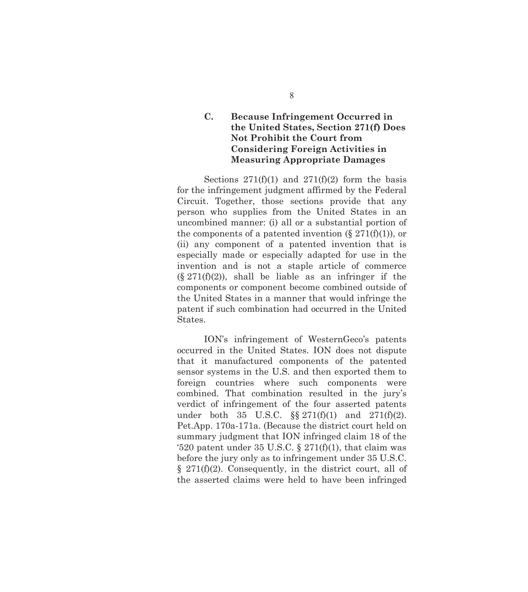## **C. Because Infringement Occurred in the United States, Section 271(f) Does Not Prohibit the Court from Considering Foreign Activities in Measuring Appropriate Damages**

Sections  $271(f)(1)$  and  $271(f)(2)$  form the basis for the infringement judgment affirmed by the Federal Circuit. Together, those sections provide that any person who supplies from the United States in an uncombined manner: (i) all or a substantial portion of the components of a patented invention  $(\S 271(f)(1))$ , or (ii) any component of a patented invention that is especially made or especially adapted for use in the invention and is not a staple article of commerce  $(\S 271(f)(2))$ , shall be liable as an infringer if the components or component become combined outside of the United States in a manner that would infringe the patent if such combination had occurred in the United States.

ION's infringement of WesternGeco's patents occurred in the United States. ION does not dispute that it manufactured components of the patented sensor systems in the U.S. and then exported them to foreign countries where such components were combined. That combination resulted in the jury's verdict of infringement of the four asserted patents under both 35 U.S.C.  $\S \ \ 271(f)(1)$  and  $271(f)(2)$ . Pet.App. 170a-171a. (Because the district court held on summary judgment that ION infringed claim 18 of the '520 patent under 35 U.S.C.  $\S 271(f)(1)$ , that claim was before the jury only as to infringement under 35 U.S.C. § 271(f)(2). Consequently, in the district court, all of the asserted claims were held to have been infringed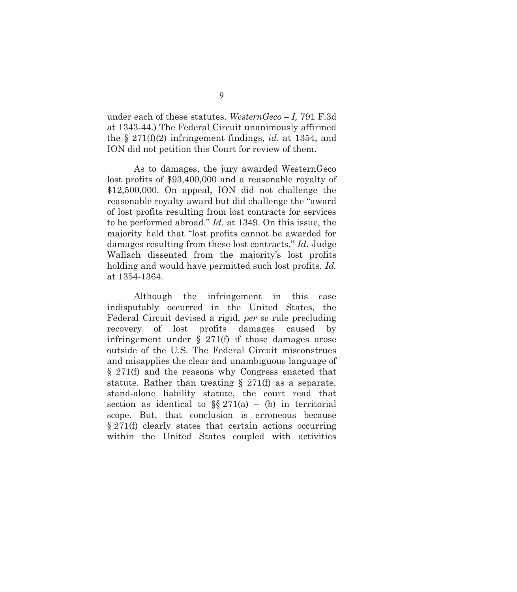under each of these statutes. *WesternGeco – I,* 791 F.3d at 1343-44.) The Federal Circuit unanimously affirmed the § 271(f)(2) infringement findings, *id.* at 1354, and ION did not petition this Court for review of them.

As to damages, the jury awarded WesternGeco lost profits of \$93,400,000 and a reasonable royalty of \$12,500,000. On appeal, ION did not challenge the reasonable royalty award but did challenge the "award of lost profits resulting from lost contracts for services to be performed abroad." *Id.* at 1349. On this issue, the majority held that "lost profits cannot be awarded for damages resulting from these lost contracts." *Id.* Judge Wallach dissented from the majority's lost profits holding and would have permitted such lost profits. *Id.* at 1354-1364.

Although the infringement in this case indisputably occurred in the United States, the Federal Circuit devised a rigid, *per se* rule precluding recovery of lost profits damages caused by infringement under  $\S$  271(f) if those damages arose outside of the U.S. The Federal Circuit misconstrues and misapplies the clear and unambiguous language of § 271(f) and the reasons why Congress enacted that statute. Rather than treating  $\S$  271(f) as a separate, stand-alone liability statute, the court read that section as identical to  $\S$  271(a) – (b) in territorial scope. But, that conclusion is erroneous because § 271(f) clearly states that certain actions occurring within the United States coupled with activities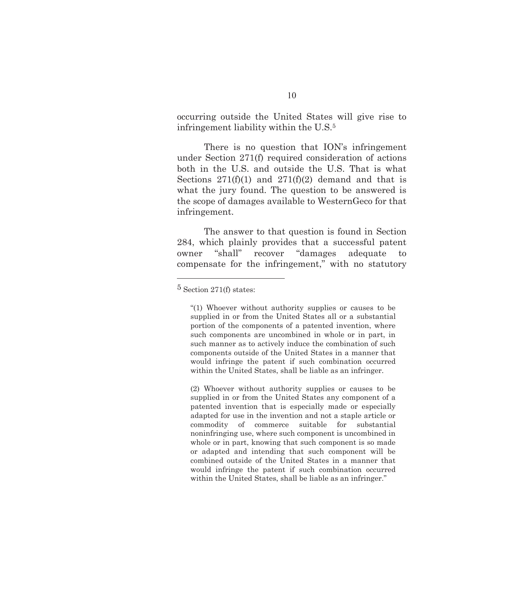occurring outside the United States will give rise to infringement liability within the U.S.5

There is no question that ION's infringement under Section 271(f) required consideration of actions both in the U.S. and outside the U.S. That is what Sections  $271(f)(1)$  and  $271(f)(2)$  demand and that is what the jury found. The question to be answered is the scope of damages available to WesternGeco for that infringement.

The answer to that question is found in Section 284, which plainly provides that a successful patent owner "shall" recover "damages adequate to compensate for the infringement," with no statutory

 $\overline{a}$ 

(2) Whoever without authority supplies or causes to be supplied in or from the United States any component of a patented invention that is especially made or especially adapted for use in the invention and not a staple article or commodity of commerce suitable for substantial noninfringing use, where such component is uncombined in whole or in part, knowing that such component is so made or adapted and intending that such component will be combined outside of the United States in a manner that would infringe the patent if such combination occurred within the United States, shall be liable as an infringer."

<sup>5</sup> Section 271(f) states:

<sup>&</sup>quot;(1) Whoever without authority supplies or causes to be supplied in or from the United States all or a substantial portion of the components of a patented invention, where such components are uncombined in whole or in part, in such manner as to actively induce the combination of such components outside of the United States in a manner that would infringe the patent if such combination occurred within the United States, shall be liable as an infringer.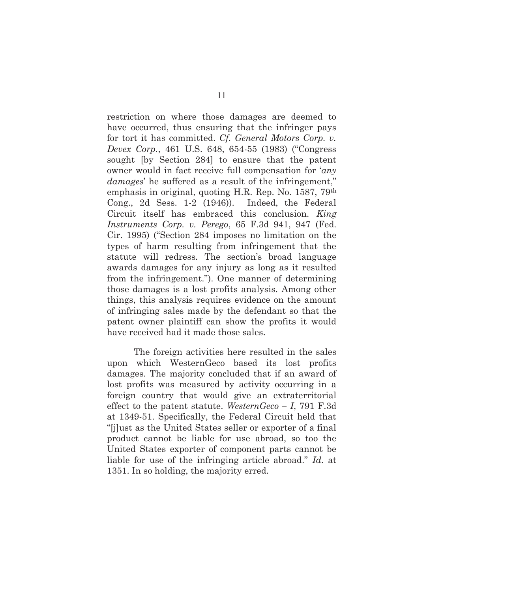restriction on where those damages are deemed to have occurred, thus ensuring that the infringer pays for tort it has committed. *Cf. General Motors Corp. v. Devex Corp.*, 461 U.S. 648, 654-55 (1983) ("Congress sought [by Section 284] to ensure that the patent owner would in fact receive full compensation for '*any damages*' he suffered as a result of the infringement," emphasis in original, quoting H.R. Rep. No. 1587, 79th Cong., 2d Sess. 1-2 (1946)). Indeed, the Federal Circuit itself has embraced this conclusion. *King Instruments Corp. v. Perego*, 65 F.3d 941, 947 (Fed. Cir. 1995) ("Section 284 imposes no limitation on the types of harm resulting from infringement that the statute will redress. The section's broad language awards damages for any injury as long as it resulted from the infringement."). One manner of determining those damages is a lost profits analysis. Among other things, this analysis requires evidence on the amount of infringing sales made by the defendant so that the patent owner plaintiff can show the profits it would have received had it made those sales.

The foreign activities here resulted in the sales upon which WesternGeco based its lost profits damages. The majority concluded that if an award of lost profits was measured by activity occurring in a foreign country that would give an extraterritorial effect to the patent statute. *WesternGeco – I*, 791 F.3d at 1349-51. Specifically, the Federal Circuit held that "[j]ust as the United States seller or exporter of a final product cannot be liable for use abroad, so too the United States exporter of component parts cannot be liable for use of the infringing article abroad." *Id.* at 1351. In so holding, the majority erred.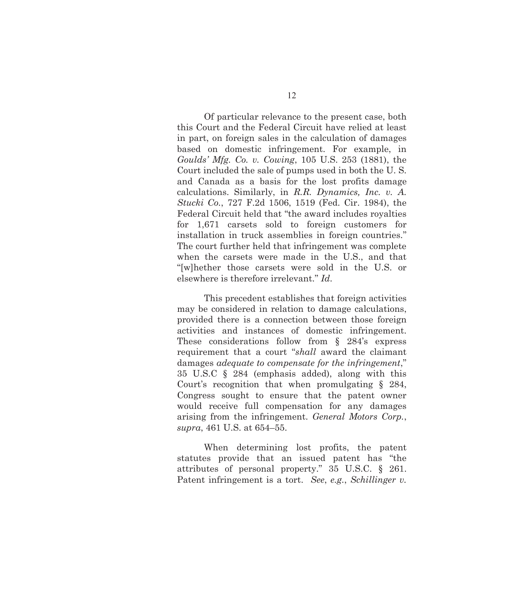Of particular relevance to the present case, both this Court and the Federal Circuit have relied at least in part, on foreign sales in the calculation of damages based on domestic infringement. For example, in *Goulds' Mfg. Co. v. Cowing*, 105 U.S. 253 (1881), the Court included the sale of pumps used in both the U. S. and Canada as a basis for the lost profits damage calculations. Similarly, in *R.R. Dynamics, Inc. v. A. Stucki Co.*, 727 F.2d 1506, 1519 (Fed. Cir. 1984), the Federal Circuit held that "the award includes royalties for 1,671 carsets sold to foreign customers for installation in truck assemblies in foreign countries." The court further held that infringement was complete when the carsets were made in the U.S., and that "[w]hether those carsets were sold in the U.S. or elsewhere is therefore irrelevant." *Id*.

This precedent establishes that foreign activities may be considered in relation to damage calculations, provided there is a connection between those foreign activities and instances of domestic infringement. These considerations follow from § 284's express requirement that a court "*shall* award the claimant damages *adequate to compensate for the infringement*," 35 U.S.C § 284 (emphasis added), along with this Court's recognition that when promulgating § 284, Congress sought to ensure that the patent owner would receive full compensation for any damages arising from the infringement. *General Motors Corp.*, *supra*, 461 U.S. at 654–55.

When determining lost profits, the patent statutes provide that an issued patent has "the attributes of personal property." 35 U.S.C. § 261. Patent infringement is a tort. *See*, *e.g.*, *Schillinger v.*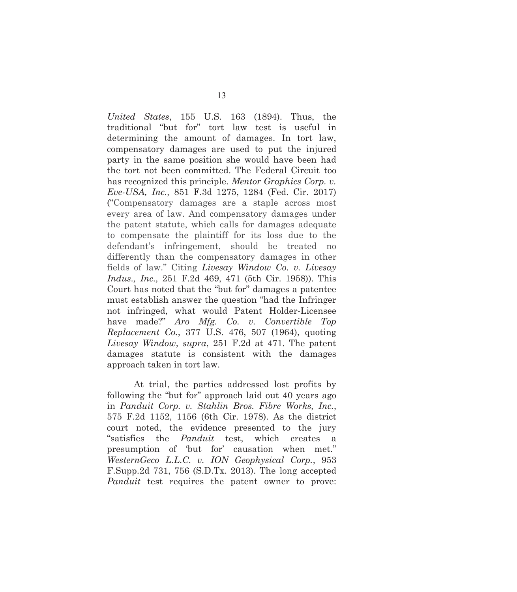*United States*, 155 U.S. 163 (1894). Thus, the traditional "but for" tort law test is useful in determining the amount of damages. In tort law, compensatory damages are used to put the injured party in the same position she would have been had the tort not been committed. The Federal Circuit too has recognized this principle. *Mentor Graphics Corp. v. Eve-USA, Inc.,* 851 F.3d 1275, 1284 (Fed. Cir. 2017) ("Compensatory damages are a staple across most every area of law. And compensatory damages under the patent statute, which calls for damages adequate to compensate the plaintiff for its loss due to the defendant's infringement, should be treated no differently than the compensatory damages in other fields of law." Citing *Livesay Window Co. v. Livesay Indus., Inc.,* 251 F.2d 469, 471 (5th Cir. 1958)). This Court has noted that the "but for" damages a patentee must establish answer the question "had the Infringer not infringed, what would Patent Holder-Licensee have made?" *Aro Mfg. Co. v. Convertible Top Replacement Co.*, 377 U.S. 476, 507 (1964), quoting *Livesay Window*, *supra*, 251 F.2d at 471. The patent damages statute is consistent with the damages approach taken in tort law.

At trial, the parties addressed lost profits by following the "but for" approach laid out 40 years ago in *Panduit Corp. v. Stahlin Bros. Fibre Works, Inc.*, 575 F.2d 1152, 1156 (6th Cir. 1978). As the district court noted, the evidence presented to the jury "satisfies the *Panduit* test, which creates a presumption of 'but for' causation when met." *WesternGeco L.L.C. v. ION Geophysical Corp.*, 953 F.Supp.2d 731, 756 (S.D.Tx. 2013). The long accepted *Panduit* test requires the patent owner to prove: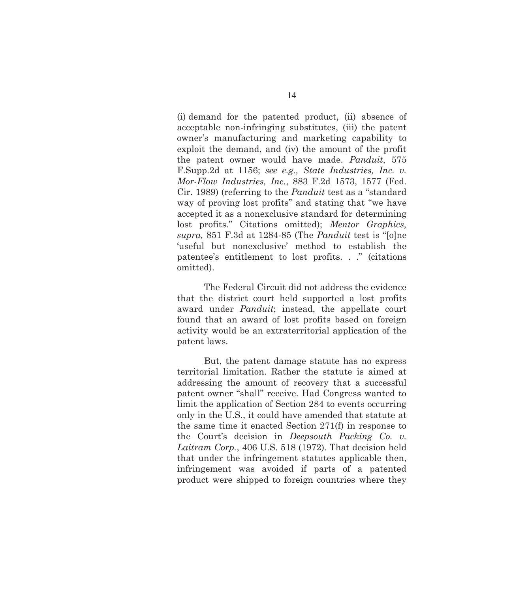(i) demand for the patented product, (ii) absence of acceptable non-infringing substitutes, (iii) the patent owner's manufacturing and marketing capability to exploit the demand, and (iv) the amount of the profit the patent owner would have made. *Panduit*, 575 F.Supp.2d at 1156; *see e.g., State Industries, Inc. v. Mor-Flow Industries, Inc.*, 883 F.2d 1573, 1577 (Fed. Cir. 1989) (referring to the *Panduit* test as a "standard way of proving lost profits" and stating that "we have accepted it as a nonexclusive standard for determining lost profits." Citations omitted); *Mentor Graphics, supra,* 851 F.3d at 1284-85 (The *Panduit* test is "[o]ne 'useful but nonexclusive' method to establish the patentee's entitlement to lost profits. . ." (citations omitted).

The Federal Circuit did not address the evidence that the district court held supported a lost profits award under *Panduit*; instead, the appellate court found that an award of lost profits based on foreign activity would be an extraterritorial application of the patent laws.

But, the patent damage statute has no express territorial limitation. Rather the statute is aimed at addressing the amount of recovery that a successful patent owner "shall" receive. Had Congress wanted to limit the application of Section 284 to events occurring only in the U.S., it could have amended that statute at the same time it enacted Section 271(f) in response to the Court's decision in *Deepsouth Packing Co. v. Laitram Corp.*, 406 U.S. 518 (1972). That decision held that under the infringement statutes applicable then, infringement was avoided if parts of a patented product were shipped to foreign countries where they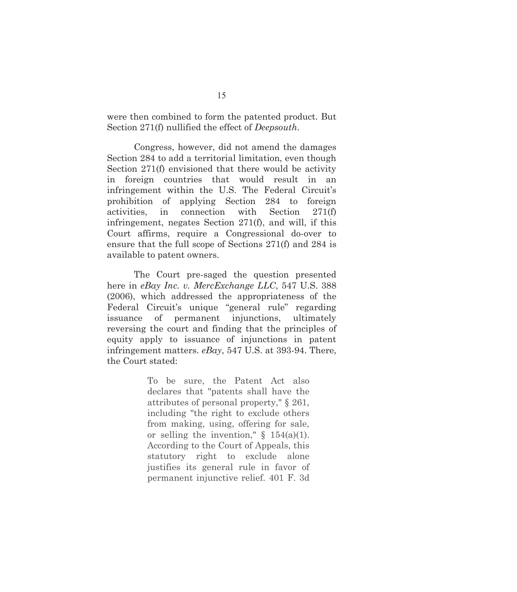were then combined to form the patented product. But Section 271(f) nullified the effect of *Deepsouth*.

Congress, however, did not amend the damages Section 284 to add a territorial limitation, even though Section 271(f) envisioned that there would be activity in foreign countries that would result in an infringement within the U.S. The Federal Circuit's prohibition of applying Section 284 to foreign activities, in connection with Section 271(f) infringement, negates Section 271(f), and will, if this Court affirms, require a Congressional do-over to ensure that the full scope of Sections 271(f) and 284 is available to patent owners.

The Court pre-saged the question presented here in *eBay Inc. v. MercExchange LLC*, 547 U.S. 388 (2006), which addressed the appropriateness of the Federal Circuit's unique "general rule" regarding issuance of permanent injunctions, ultimately reversing the court and finding that the principles of equity apply to issuance of injunctions in patent infringement matters. *eBay*, 547 U.S. at 393-94. There, the Court stated:

> To be sure, the Patent Act also declares that "patents shall have the attributes of personal property," § 261, including "the right to exclude others from making, using, offering for sale, or selling the invention,"  $\S$  154(a)(1). According to the Court of Appeals, this statutory right to exclude alone justifies its general rule in favor of permanent injunctive relief. 401 F. 3d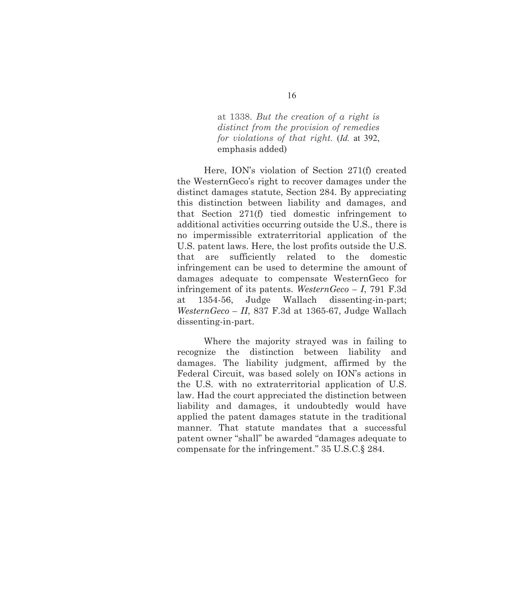at 1338. *But the creation of a right is distinct from the provision of remedies for violations of that right.* (*Id.* at 392, emphasis added)

Here, ION's violation of Section 271(f) created the WesternGeco's right to recover damages under the distinct damages statute, Section 284. By appreciating this distinction between liability and damages, and that Section 271(f) tied domestic infringement to additional activities occurring outside the U.S., there is no impermissible extraterritorial application of the U.S. patent laws. Here, the lost profits outside the U.S. that are sufficiently related to the domestic infringement can be used to determine the amount of damages adequate to compensate WesternGeco for infringement of its patents. *WesternGeco – I*, 791 F.3d at 1354-56, Judge Wallach dissenting-in-part; *WesternGeco – II*, 837 F.3d at 1365-67, Judge Wallach dissenting-in-part.

Where the majority strayed was in failing to recognize the distinction between liability and damages. The liability judgment, affirmed by the Federal Circuit, was based solely on ION's actions in the U.S. with no extraterritorial application of U.S. law. Had the court appreciated the distinction between liability and damages, it undoubtedly would have applied the patent damages statute in the traditional manner. That statute mandates that a successful patent owner "shall" be awarded "damages adequate to compensate for the infringement." 35 U.S.C.§ 284.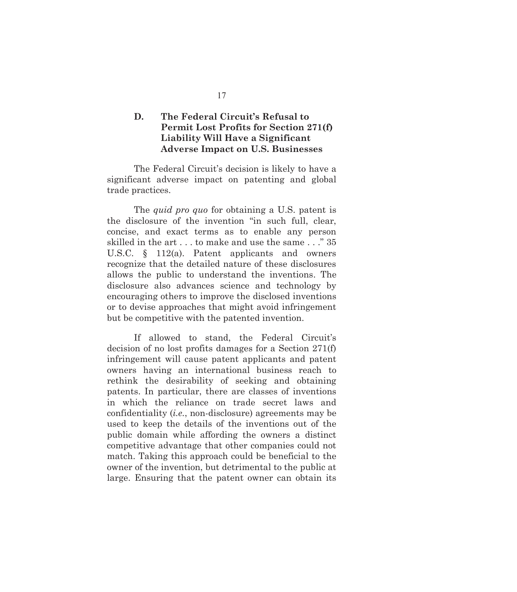### **D. The Federal Circuit's Refusal to Permit Lost Profits for Section 271(f) Liability Will Have a Significant Adverse Impact on U.S. Businesses**

The Federal Circuit's decision is likely to have a significant adverse impact on patenting and global trade practices.

The *quid pro quo* for obtaining a U.S. patent is the disclosure of the invention "in such full, clear, concise, and exact terms as to enable any person skilled in the art . . . to make and use the same . . ." 35 U.S.C. § 112(a). Patent applicants and owners recognize that the detailed nature of these disclosures allows the public to understand the inventions. The disclosure also advances science and technology by encouraging others to improve the disclosed inventions or to devise approaches that might avoid infringement but be competitive with the patented invention.

If allowed to stand, the Federal Circuit's decision of no lost profits damages for a Section 271(f) infringement will cause patent applicants and patent owners having an international business reach to rethink the desirability of seeking and obtaining patents. In particular, there are classes of inventions in which the reliance on trade secret laws and confidentiality (*i.e.*, non-disclosure) agreements may be used to keep the details of the inventions out of the public domain while affording the owners a distinct competitive advantage that other companies could not match. Taking this approach could be beneficial to the owner of the invention, but detrimental to the public at large. Ensuring that the patent owner can obtain its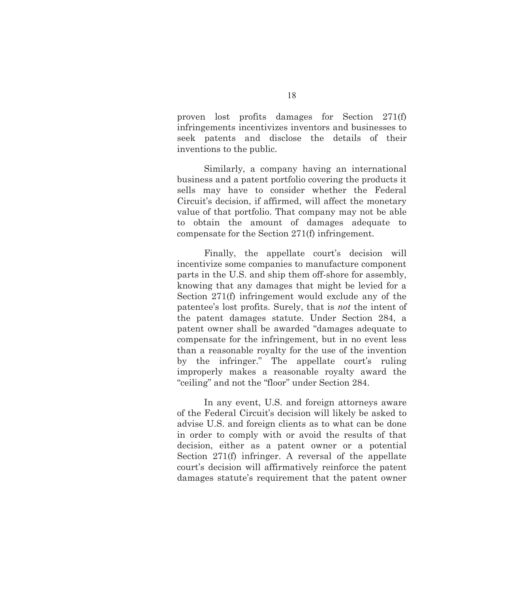proven lost profits damages for Section 271(f) infringements incentivizes inventors and businesses to seek patents and disclose the details of their inventions to the public.

Similarly, a company having an international business and a patent portfolio covering the products it sells may have to consider whether the Federal Circuit's decision, if affirmed, will affect the monetary value of that portfolio. That company may not be able to obtain the amount of damages adequate to compensate for the Section 271(f) infringement.

Finally, the appellate court's decision will incentivize some companies to manufacture component parts in the U.S. and ship them off-shore for assembly, knowing that any damages that might be levied for a Section 271(f) infringement would exclude any of the patentee's lost profits. Surely, that is *not* the intent of the patent damages statute. Under Section 284, a patent owner shall be awarded "damages adequate to compensate for the infringement, but in no event less than a reasonable royalty for the use of the invention by the infringer." The appellate court's ruling improperly makes a reasonable royalty award the "ceiling" and not the "floor" under Section 284.

In any event, U.S. and foreign attorneys aware of the Federal Circuit's decision will likely be asked to advise U.S. and foreign clients as to what can be done in order to comply with or avoid the results of that decision, either as a patent owner or a potential Section 271(f) infringer. A reversal of the appellate court's decision will affirmatively reinforce the patent damages statute's requirement that the patent owner